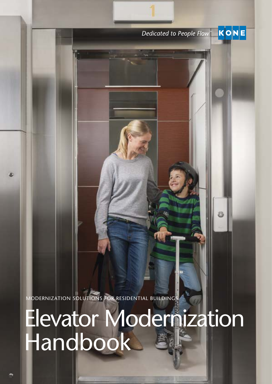

# Elevator Modernization Handbook

Dedicated to People Flow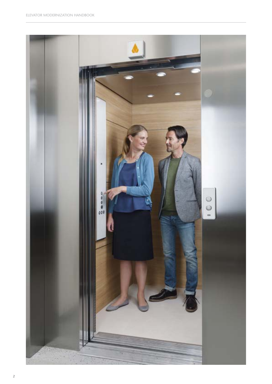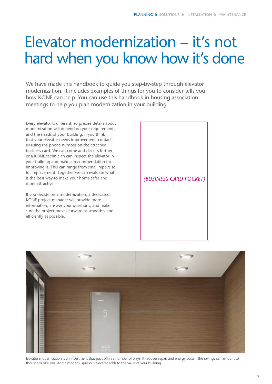### Elevator modernization – it's not hard when you know how it's done

We have made this handbook to guide you step-by-step through elevator modernization. It includes examples of things for you to consider tells you how KONE can help. You can use this handbook in housing association meetings to help you plan modernization in your building.

Every elevator is different, so precise details about modernization will depend on your requirements and the needs of your building. If you think that your elevator needs improvement, contact us using the phone number on the attached business card. We can come and discuss further or a KONE technician can inspect the elevator in your building and make a recommendation for improving it. This can range from small repairs to full replacement. Together we can evaluate what is the best way to make your home safer and more attractive.

If you decide on a modernization, a dedicated KONE project manager will provide more information, answer your questions, and make sure the project moves forward as smoothly and efficiently as possible.





Elevator modernization is an investment that pays off in a number of ways. It reduces repair and energy costs – the savings can amount to thousands of euros. And a modern, spacious elevator adds to the value of your building.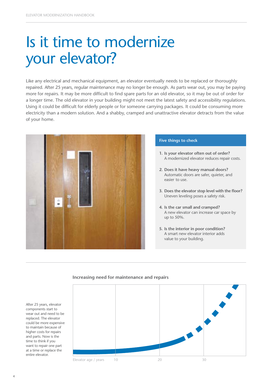### Is it time to modernize your elevator?

Like any electrical and mechanical equipment, an elevator eventually needs to be replaced or thoroughly repaired. After 25 years, regular maintenance may no longer be enough. As parts wear out, you may be paying more for repairs. It may be more difficult to find spare parts for an old elevator, so it may be out of order for a longer time. The old elevator in your building might not meet the latest safety and accessibility regulations. Using it could be difficult for elderly people or for someone carrying packages. It could be consuming more electricity than a modern solution. And a shabby, cramped and unattractive elevator detracts from the value of your home.



#### **Five things to check**

- **1. Is your elevator often out of order?**  A modernized elevator reduces repair costs.
- **2. Does it have heavy manual doors?**  Automatic doors are safer, quieter, and easier to use.
- **3. Does the elevator stop level with the floor?**  Uneven leveling poses a safety risk.
- **4. Is the car small and cramped?**  A new elevator can increase car space by up to 50%.
- **5. Is the interior in poor condition?** A smart new elevator interior adds value to your building.

# Elevator age / years 10 20 30

#### **Increasing need for maintenance and repairs**

After 25 years, elevator components start to wear out and need to be replaced. The elevator could be more expensive to maintain because of higher costs for repairs and parts. Now is the time to think if you want to repair one part at a time or replace the entire elevator.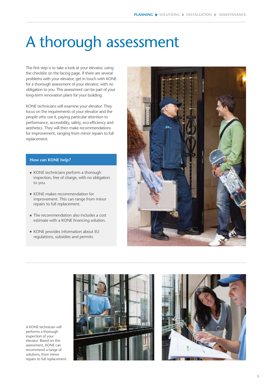### A thorough assessment

The first step is to take a look at your elevator, using the checklist on the facing page. If there are several problems with your elevator, get in touch with KONE for a thorough assessment of your elevator, with no obligation to you. This assessment can be part of your long-term renovation plans for your building.

KONE technicians will examine your elevator. They focus on the requirements of your elevator and the people who use it, paying particular attention to performance, accessibility, safety, eco-efficiency and aesthetics. They will then make recommendations for improvement, ranging from minor repairs to full replacement.

#### **How can KONE help?**

- $\blacksquare$  KONE technicians perform a thorough inspection, free of charge, with no obligation to you.
- KONE makes recommendation for improvement. This can range from minor repairs to full replacement.
- $\blacksquare$  The recommendation also includes a cost estimate with a KONE financing solution.
- $\blacksquare$  KONE provides information about EU regulations, subsidies and permits.







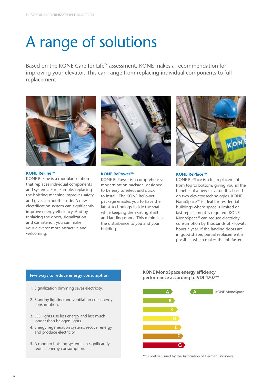### A range of solutions

Based on the KONE Care for Life™ assessment, KONE makes a recommendation for improving your elevator. This can range from replacing individual components to full replacement.



#### **KONE ReFine™**

KONE ReFine is a modular solution that replaces individual components and systems. For example, replacing the hoisting machine improves safety and gives a smoother ride. A new electrification system can significantly improve energy efficiency. And by replacing the doors, signalization and car interior, you can make your elevator more attractive and welcoming.



#### **KONE RePower™**

KONE RePower is a comprehensive modernization package, designed to be easy to select and quick to install. The KONE RePower package enables you to have the latest technology inside the shaft while keeping the existing shaft and landing doors. This minimizes the disturbance to you and your building.



#### **KONE RePlace™**

KONE RePlace is a full replacement from top to bottom, giving you all the benefits of a new elevator. It is based on two elevator technologies. KONE NanoSpace™ is ideal for residential buildings where space is limited or fast replacement is required. KONE MonoSpace® can reduce electricity consumption by thousands of kilowatt hours a year. If the landing doors are in good shape, partial replacement is possible, which makes the job faster.

#### **Five ways to reduce energy consumption**

- 1. Signalization dimming saves electricity.
- 2. Standby lighting and ventilation cuts energy consumption.
- 3. LED lights use less energy and last much longer than halogen lights.
- 4. Energy regeneration systems recover energy and produce electricity.
- 5. A modern hoisting system can significantly reduce energy consumption.

### **KONE MonoSpace energy efficiency performance according to VDI 4707\*\***



\*\*Guideline issued by the Association of German Engineers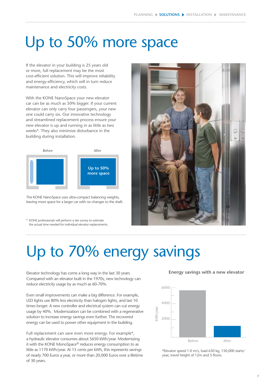### Up to 50% more space

If the elevator in your building is 25 years old or more, full replacement may be the most cost-efficient solution. This will improve reliability and energy-efficiency, which will in turn reduce maintenance and electricity costs.

With the KONE NanoSpace your new elevator car can be as much as 50% bigger. If your current elevator can only carry four passengers, your new one could carry six. Our innovative technology and streamlined replacement process ensure your new elevator is up and running in as little as two weeks\*. They also minimize disturbance in the building during installation.



The KONE NanoSpace uses ultra-compact balancing weights, leaving more space for a larger car with no changes to the shaft.

\* KONE professionals will perform a site survey to estimate the actual time needed for individual elevator replacements.



## Up to 70% energy savings

Elevator technology has come a long way in the last 30 years. Compared with an elevator built in the 1970s, new technology can reduce electricity usage by as much as 60-70%.

Even small improvements can make a big difference. For example, LED lights use 80% less electricity than halogen lights, and last 10 times longer. A new controller and electrical system can cut energy usage by 40%. Modernization can be combined with a regenerative solution to increase energy savings even further. The recovered energy can be used to power other equipment in the building.

Full replacement can save even more energy. For example\*, a hydraulic elevator consumes about 5650 kWh/year. Modernizing it with the KONE MonoSpace® reduces energy consumption to as little as 1170 kWh/year. At 15 cents per kWh, this represents savings of nearly 700 Euros a year, or more than 20,000 Euros over a lifetime of 30 years.

#### **Energy savings with a new elevator**



\*Elevator speed 1.0 m/s, load 630 kg, 150,000 starts/ year, travel height of 12m and 5 floors.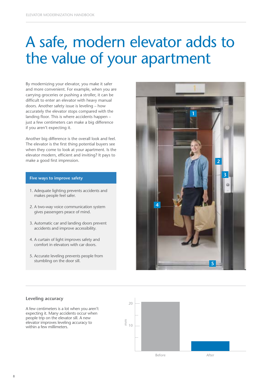### A safe, modern elevator adds to the value of your apartment

By modernizing your elevator, you make it safer and more convenient. For example, when you are carrying groceries or pushing a stroller, it can be difficult to enter an elevator with heavy manual doors. Another safety issue is leveling – how accurately the elevator stops compared with the landing floor. This is where accidents happen – just a few centimeters can make a big difference if you aren't expecting it.

Another big difference is the overall look and feel. The elevator is the first thing potential buyers see when they come to look at your apartment. Is the elevator modern, efficient and inviting? It pays to make a good first impression.

#### **Five ways to improve safety**

- 1. Adequate lighting prevents accidents and makes people feel safer.
- 2. A two-way voice communication system gives passengers peace of mind.
- 3. Automatic car and landing doors prevent accidents and improve accessibility.
- 4. A curtain of light improves safety and comfort in elevators with car doors.
- 5. Accurate leveling prevents people from stumbling on the door sill.





A few centimeters is a lot when you aren't expecting it. Many accidents occur when people trip on the elevator sill. A new elevator improves leveling accuracy to within a few millimeters.



Before

After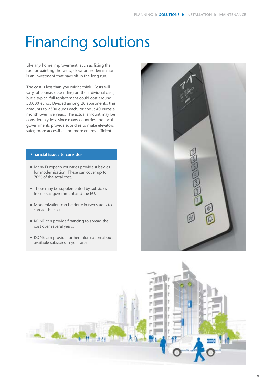### Financing solutions

Like any home improvement, such as fixing the roof or painting the walls, elevator modernization is an investment that pays off in the long run.

The cost is less than you might think. Costs will vary, of course, depending on the individual case, but a typical full replacement could cost around 50,000 euros. Divided among 20 apartments, this amounts to 2500 euros each, or about 40 euros a month over five years. The actual amount may be considerably less, since many countries and local governments provide subsidies to make elevators safer, more accessible and more energy efficient.

### **Financial issues to consider**

- Many European countries provide subsidies for modernization. These can cover up to 70% of the total cost.
- $\blacksquare$  These may be supplemented by subsidies from local government and the EU.
- Modernization can be done in two stages to spread the cost.
- KONE can provide financing to spread the cost over several years.
- KONE can provide further information about available subsidies in your area.



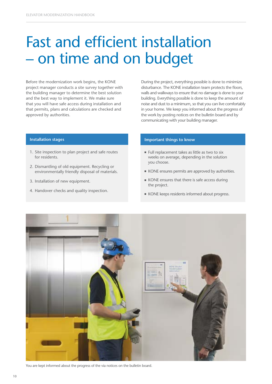### Fast and efficient installation – on time and on budget

Before the modernization work begins, the KONE project manager conducts a site survey together with the building manager to determine the best solution and the best way to implement it. We make sure that you will have safe access during installation and that permits, plans and calculations are checked and approved by authorities.

During the project, everything possible is done to minimize disturbance. The KONE installation team protects the floors, walls and walkways to ensure that no damage is done to your building. Everything possible is done to keep the amount of noise and dust to a minimum, so that you can live comfortably in your home. We keep you informed about the progress of the work by posting notices on the bulletin board and by communicating with your building manager.

- 1. Site inspection to plan project and safe routes for residents.
- 2. Dismantling of old equipment. Recycling or environmentally friendly disposal of materials.
- 3. Installation of new equipment.
- 4. Handover checks and quality inspection.

#### **Installation stages Important things to know**

- $\blacksquare$  Full replacement takes as little as two to six weeks on average, depending in the solution you choose.
- KONE ensures permits are approved by authorities.
- <sup>n</sup> KONE ensures that there is safe access during the project.
- KONE keeps residents informed about progress.



You are kept informed about the progress of the via notices on the bulletin board.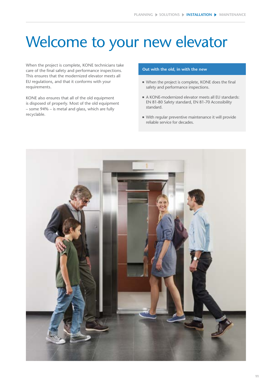### Welcome to your new elevator

When the project is complete, KONE technicians take care of the final safety and performance inspections. This ensures that the modernized elevator meets all EU regulations, and that it conforms with your requirements.

KONE also ensures that all of the old equipment is disposed of properly. Most of the old equipment – some 94% – is metal and glass, which are fully recyclable.

### **Out with the old, in with the new**

- When the project is complete, KONE does the final safety and performance inspections.
- <sup>n</sup> A KONE-modernized elevator meets all EU standards: EN 81-80 Safety standard, EN 81-70 Accessibility standard.
- $\blacksquare$  With regular preventive maintenance it will provide reliable service for decades.

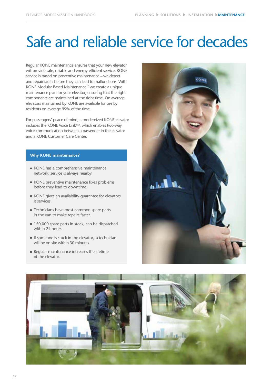### Safe and reliable service for decades

Regular KONE maintenance ensures that your new elevator will provide safe, reliable and energy-efficient service. KONE service is based on preventive maintenance – we detect and repair faults before they can lead to malfunctions. With KONE Modular Based Maintenance™ we create a unique maintenance plan for your elevator, ensuring that the right components are maintained at the right time. On average, elevators maintained by KONE are available for use by residents on average 99% of the time.

For passengers' peace of mind, a modernized KONE elevator includes the KONE Voice Link™, which enables two-way voice communication between a passenger in the elevator and a KONE Customer Care Center.

### **Why KONE maintenance?**

- KONE has a comprehensive maintenance network: service is always nearby.
- KONE preventive maintenance fixes problems before they lead to downtime.
- <sup>n</sup> KONE gives an availability guarantee for elevators it services.
- Technicians have most common spare parts in the van to make repairs faster.
- 150,000 spare parts in stock, can be dispatched within 24 hours.
- $\blacksquare$  If someone is stuck in the elevator, a technician will be on site within 30 minutes.
- $\blacksquare$  Regular maintenance increases the lifetime of the elevator.



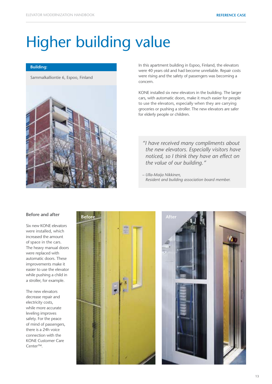### Higher building value

### **Building:**

Sammalkalliontie 6, Espoo, Finland



In this apartment building in Espoo, Finland, the elevators were 40 years old and had become unreliable. Repair costs were rising and the safety of passengers was becoming a concern.

KONE installed six new elevators in the building. The larger cars, with automatic doors, make it much easier for people to use the elevators, especially when they are carrying groceries or pushing a stroller. The new elevators are safer for elderly people or children.

- *"I have received many compliments about the new elevators. Especially visitors have noticed, so I think they have an effect on the value of our building."*
- *Ulla-Maija Nikkinen, Resident and building association board member.*

Six new KONE elevators were installed, which increased the amount of space in the cars. The heavy manual doors were replaced with automatic doors. These improvements make it easier to use the elevator while pushing a child in a stroller, for example.

The new elevators decrease repair and electricity costs, while more accurate leveling improves safety. For the peace of mind of passengers, there is a 24h voice connection with the KONE Customer Care Center™.



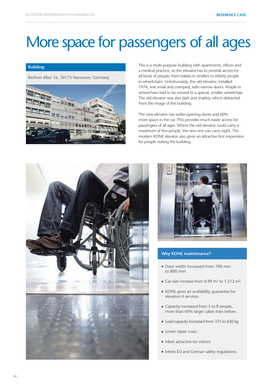### More space for passengers of all ages

### **Building:**

Berliner Allee 16, 30175 Hannover, Germany



This is a multi-purpose building with apartments, offices and a medical practice, so the elevator has to provide access for all kinds of people, from babies in strollers to elderly people in wheelchairs. Unfortunately, the old elevator, installed 1974, was small and cramped, with narrow doors. People in wheelchairs had to be moved to a special, smaller wheelchair. The old elevator was also dark and shabby, which detracted from the image of the building.

The new elevator has wider-opening doors and 60% more space in the car. This provides much easier access for passengers of all ages. Where the old elevator could carry a maximum of five people, the new one can carry eight. The modern KONE elevator also gives an attractive first impression for people visiting the building.





### **Why KONE maintenance?**

- Door width increased from 700 mm to 800 mm.
- Car size increase from 0.99  $m^2$  to 1.512  $m^2$ .
- KONE gives an availability guarantee for elevators it services.
- Capacity increased from 5 to 8 people, more than 60% larger cabin than before.
- Load capacity increased from 375 to 630 kg
- **Lower repair costs.**
- $\blacksquare$  More attractive for visitors.
- Meets EU and German safety regulations.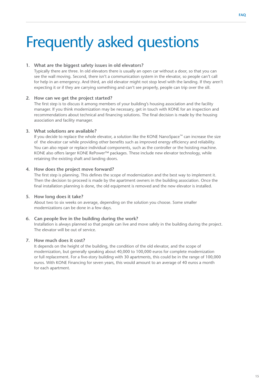### Frequently asked questions

### **1. What are the biggest safety issues in old elevators?**

Typically there are three. In old elevators there is usually an open car without a door, so that you can see the wall moving. Second, there isn't a communication system in the elevator, so people can't call for help in an emergency. And third, an old elevator might not stop level with the landing. If they aren't expecting it or if they are carrying something and can't see properly, people can trip over the sill.

### **2. How can we get the project started?**

The first step is to discuss it among members of your building's housing association and the facility manager. If you think modernization may be necessary, get in touch with KONE for an inspection and recommendations about technical and financing solutions. The final decision is made by the housing association and facility manager.

### **3. What solutions are available?**

If you decide to replace the whole elevator, a solution like the KONE NanoSpace™ can increase the size of the elevator car while providing other benefits such as improved energy efficiency and reliability. You can also repair or replace individual components, such as the controller or the hoisting machine. KONE also offers larger KONE RePower™ packages. These include new elevator technology, while retaining the existing shaft and landing doors.

### **4. How does the project move forward?**

The first step is planning. This defines the scope of modernization and the best way to implement it. Then the decision to proceed is made by the apartment owners in the building association. Once the final installation planning is done, the old equipment is removed and the new elevator is installed.

### **5. How long does it take?**

About two to six weeks on average, depending on the solution you choose. Some smaller modernizations can be done in a few days.

### **6. Can people live in the building during the work?**

Installation is always planned so that people can live and move safely in the building during the project. The elevator will be out of service.

### **7. How much does it cost?**

It depends on the height of the building, the condition of the old elevator, and the scope of modernization, but generally speaking about 40,000 to 100,000 euros for complete modernization or full replacement. For a five-story building with 30 apartments, this could be in the range of 100,000 euros. With KONE Financing for seven years, this would amount to an average of 40 euros a month for each apartment.